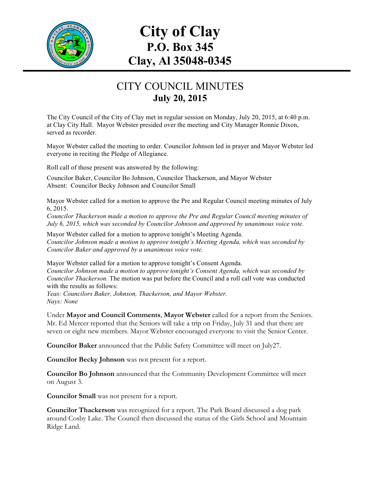

## **City of Clay P.O. Box 345 Clay, Al 35048-0345**

## CITY COUNCIL MINUTES **July 20, 2015**

The City Council of the City of Clay met in regular session on Monday, July 20, 2015, at 6:40 p.m. at Clay City Hall. Mayor Webster presided over the meeting and City Manager Ronnie Dixon, served as recorder.

Mayor Webster called the meeting to order. Councilor Johnson led in prayer and Mayor Webster led everyone in reciting the Pledge of Allegiance.

Roll call of those present was answered by the following:

Councilor Baker, Councilor Bo Johnson, Councilor Thackerson, and Mayor Webster Absent: Councilor Becky Johnson and Councilor Small

Mayor Webster called for a motion to approve the Pre and Regular Council meeting minutes of July 6, 2015.

*Councilor Thackerson made a motion to approve the Pre and Regular Council meeting minutes of July 6, 2015, which was seconded by Councilor Johnson and approved by unanimous voice vote.*

Mayor Webster called for a motion to approve tonight's Meeting Agenda. *Councilor Johnson made a motion to approve tonight's Meeting Agenda, which was seconded by Councilor Baker and approved by a unanimous voice vote.*

Mayor Webster called for a motion to approve tonight's Consent Agenda. *Councilor Johnson made a motion to approve tonight's Consent Agenda, which was seconded by Councilor Thackerson.* The motion was put before the Council and a roll call vote was conducted with the results as follows:

*Yeas: Councilors Baker, Johnson, Thackerson, and Mayor Webster. Nays: None*

Under **Mayor and Council Comments**, **Mayor Webster** called for a report from the Seniors. Mr. Ed Mercer reported that the Seniors will take a trip on Friday, July 31 and that there are seven or eight new members. Mayor Webster encouraged everyone to visit the Senior Center.

**Councilor Baker** announced that the Public Safety Committee will meet on July27.

**Councilor Becky Johnson** was not present for a report.

**Councilor Bo Johnson** announced that the Community Development Committee will meet on August 3.

**Councilor Small** was not present for a report.

**Councilor Thackerson** was recognized for a report. The Park Board discussed a dog park around Cosby Lake. The Council then discussed the status of the Girls School and Mountain Ridge Land.